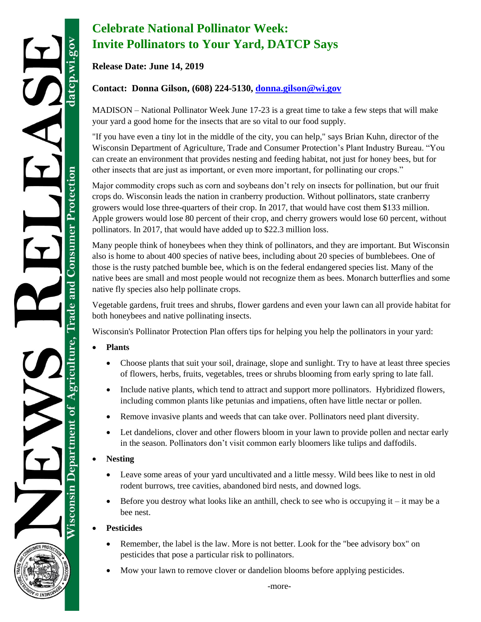## **Celebrate National Pollinator Week: Invite Pollinators to Your Yard, DATCP Says**

**Release Date: June 14, 2019**

## **Contact: Donna Gilson, (608) 224-5130, [donna.gilson@wi.gov](mailto:donna.gilson@wi.gov)**

MADISON – National Pollinator Week June 17-23 is a great time to take a few steps that will make your yard a good home for the insects that are so vital to our food supply.

"If you have even a tiny lot in the middle of the city, you can help," says Brian Kuhn, director of the Wisconsin Department of Agriculture, Trade and Consumer Protection's Plant Industry Bureau. "You can create an environment that provides nesting and feeding habitat, not just for honey bees, but for other insects that are just as important, or even more important, for pollinating our crops."

Major commodity crops such as corn and soybeans don't rely on insects for pollination, but our fruit crops do. Wisconsin leads the nation in cranberry production. Without pollinators, state cranberry growers would lose three-quarters of their crop. In 2017, that would have cost them \$133 million. Apple growers would lose 80 percent of their crop, and cherry growers would lose 60 percent, without pollinators. In 2017, that would have added up to \$22.3 million loss.

Many people think of honeybees when they think of pollinators, and they are important. But Wisconsin also is home to about 400 species of native bees, including about 20 species of bumblebees. One of those is the rusty patched bumble bee, which is on the federal endangered species list. Many of the native bees are small and most people would not recognize them as bees. Monarch butterflies and some native fly species also help pollinate crops.

Vegetable gardens, fruit trees and shrubs, flower gardens and even your lawn can all provide habitat for both honeybees and native pollinating insects.

Wisconsin's Pollinator Protection Plan offers tips for helping you help the pollinators in your yard:

- **Plants**
	- Choose plants that suit your soil, drainage, slope and sunlight. Try to have at least three species of flowers, herbs, fruits, vegetables, trees or shrubs blooming from early spring to late fall.
	- Include native plants, which tend to attract and support more pollinators. Hybridized flowers, including common plants like petunias and impatiens, often have little nectar or pollen.
	- Remove invasive plants and weeds that can take over. Pollinators need plant diversity.
	- Let dandelions, clover and other flowers bloom in your lawn to provide pollen and nectar early in the season. Pollinators don't visit common early bloomers like tulips and daffodils.
- **Nesting**
	- Leave some areas of your yard uncultivated and a little messy. Wild bees like to nest in old rodent burrows, tree cavities, abandoned bird nests, and downed logs.
	- Before you destroy what looks like an anthill, check to see who is occupying it it may be a bee nest.

## **Pesticides**

- Remember, the label is the law. More is not better. Look for the "bee advisory box" on pesticides that pose a particular risk to pollinators.
- Mow your lawn to remove clover or dandelion blooms before applying pesticides.